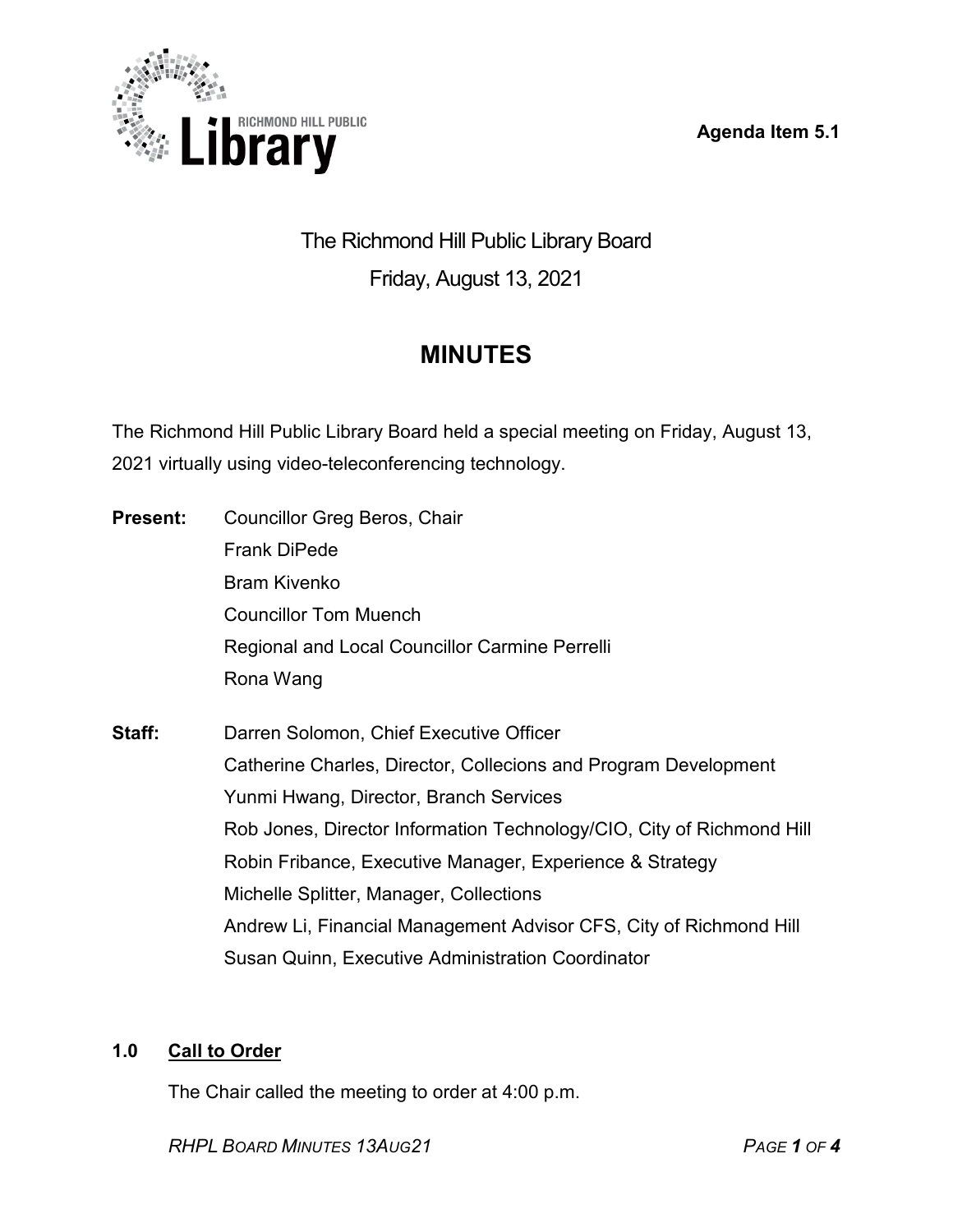**Agenda Item 5.1**



The Richmond Hill Public Library Board Friday, August 13, 2021

# **MINUTES**

The Richmond Hill Public Library Board held a special meeting on Friday, August 13, 2021 virtually using video-teleconferencing technology.

| <b>Present:</b> | Councillor Greg Beros, Chair                                          |
|-----------------|-----------------------------------------------------------------------|
|                 | <b>Frank DiPede</b>                                                   |
|                 | <b>Bram Kivenko</b>                                                   |
|                 | <b>Councillor Tom Muench</b>                                          |
|                 | Regional and Local Councillor Carmine Perrelli                        |
|                 | Rona Wang                                                             |
| Staff:          | Darren Solomon, Chief Executive Officer                               |
|                 | Catherine Charles, Director, Collecions and Program Development       |
|                 | Yunmi Hwang, Director, Branch Services                                |
|                 | Rob Jones, Director Information Technology/CIO, City of Richmond Hill |
|                 | Robin Fribance, Executive Manager, Experience & Strategy              |
|                 | Michelle Splitter, Manager, Collections                               |
|                 | Andrew Li, Financial Management Advisor CFS, City of Richmond Hill    |
|                 | <b>Susan Quinn, Executive Administration Coordinator</b>              |

## **1.0 Call to Order**

The Chair called the meeting to order at 4:00 p.m.

*RHPL BOARD MINUTES 13AUG21 PAGE 1 OF 4*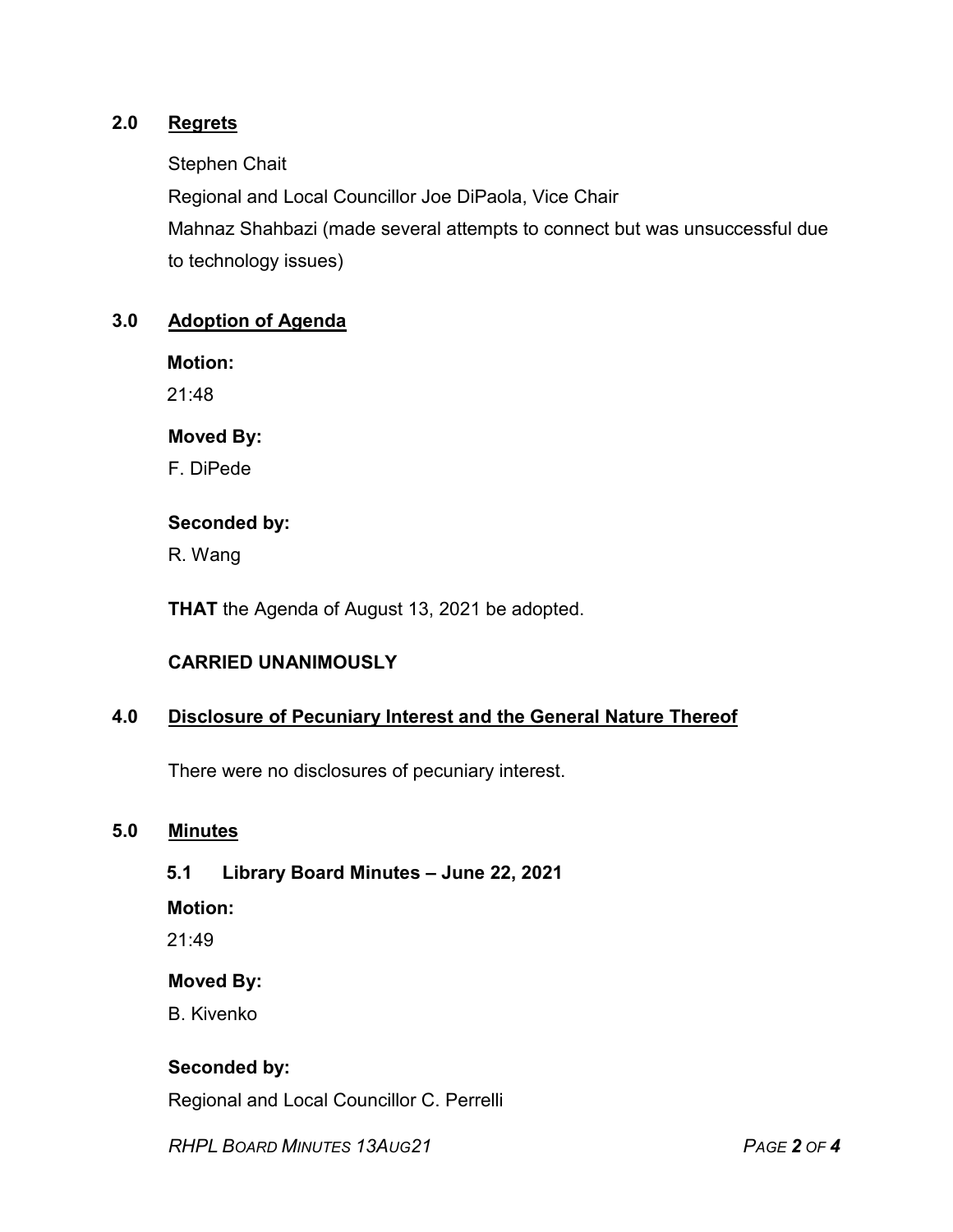## **2.0 Regrets**

Stephen Chait

Regional and Local Councillor Joe DiPaola, Vice Chair Mahnaz Shahbazi (made several attempts to connect but was unsuccessful due to technology issues)

### **3.0 Adoption of Agenda**

**Motion:**

21:48

#### **Moved By:**

F. DiPede

#### **Seconded by:**

R. Wang

**THAT** the Agenda of August 13, 2021 be adopted.

## **CARRIED UNANIMOUSLY**

#### **4.0 Disclosure of Pecuniary Interest and the General Nature Thereof**

There were no disclosures of pecuniary interest.

## **5.0 Minutes**

## **5.1 Library Board Minutes – June 22, 2021**

**Motion:**

21:49

#### **Moved By:**

B. Kivenko

## **Seconded by:**

Regional and Local Councillor C. Perrelli

*RHPL BOARD MINUTES 13AUG21 PAGE 2 OF 4*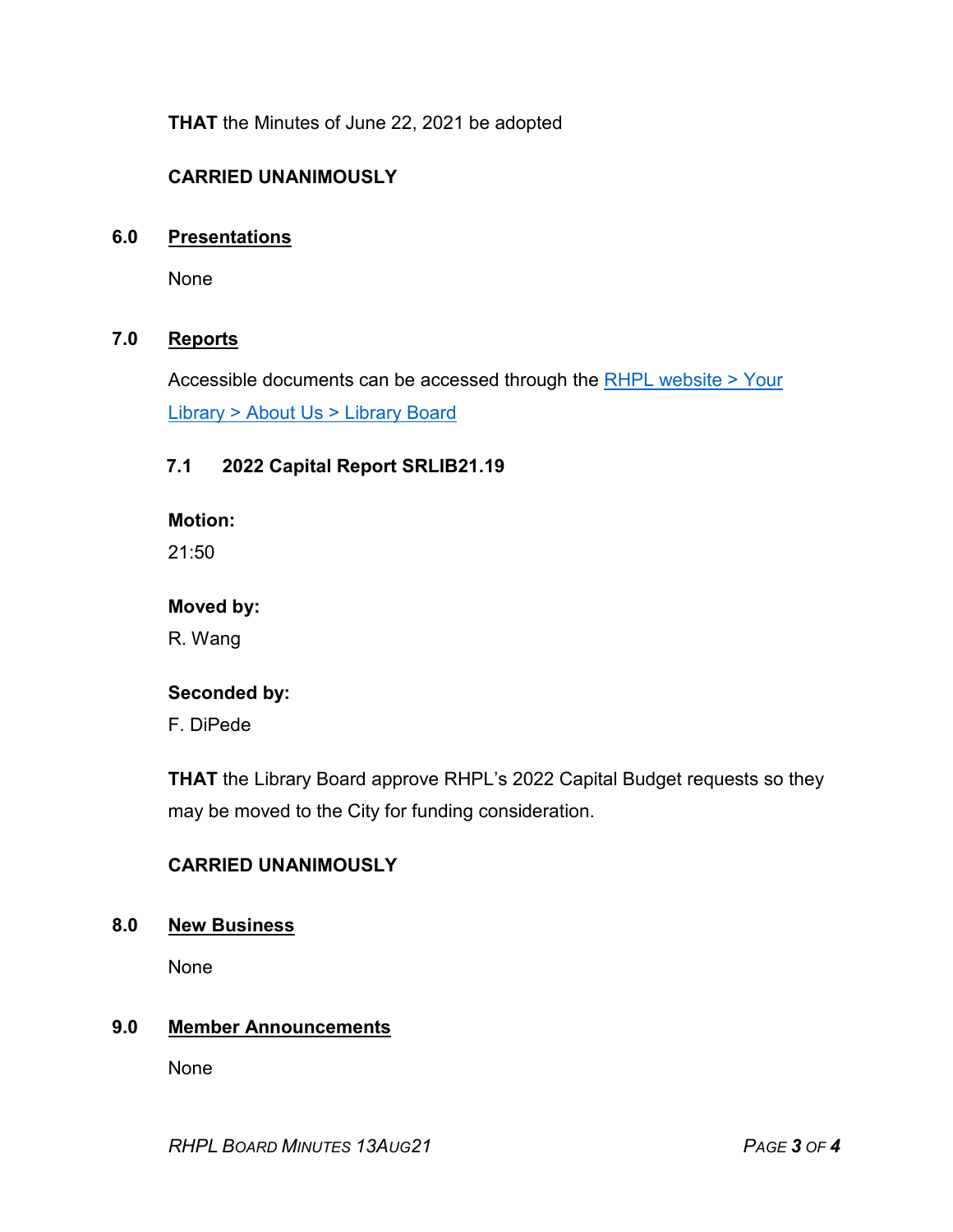**THAT** the Minutes of June 22, 2021 be adopted

## **CARRIED UNANIMOUSLY**

#### **6.0 Presentations**

None

### **7.0 Reports**

Accessible documents can be accessed through the [RHPL website > Your](https://www.rhpl.ca/your-library/about-us/library-board)  Library [> About Us > Library](https://www.rhpl.ca/your-library/about-us/library-board) Board

### **7.1 2022 Capital Report SRLIB21.19**

**Motion:** 

21:50

**Moved by:**

R. Wang

#### **Seconded by:**

F. DiPede

**THAT** the Library Board approve RHPL's 2022 Capital Budget requests so they may be moved to the City for funding consideration.

## **CARRIED UNANIMOUSLY**

#### **8.0 New Business**

None

## **9.0 Member Announcements**

None